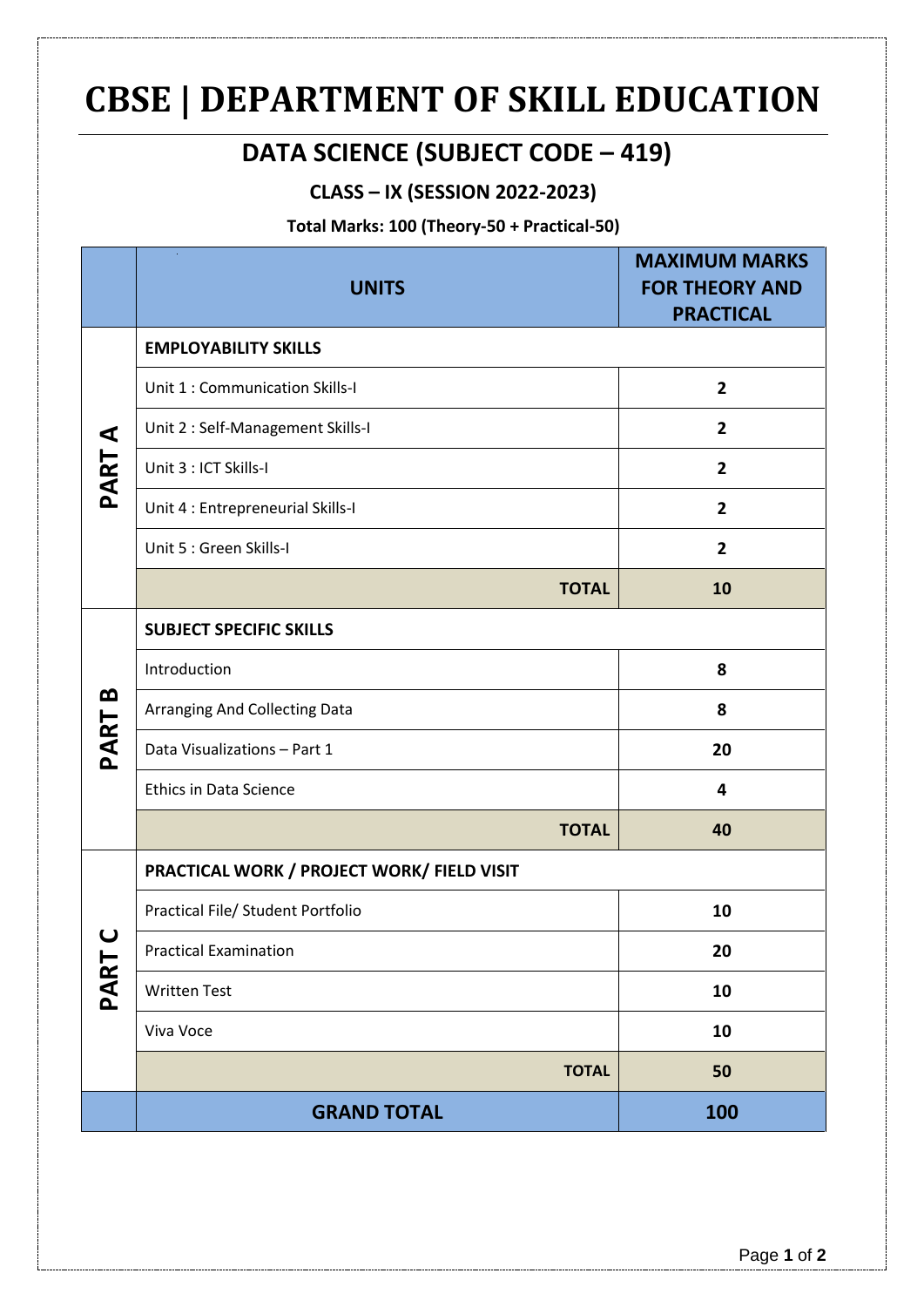# **CBSE | DEPARTMENT OF SKILL EDUCATION**

## **DATA SCIENCE (SUBJECT CODE – 419)**

### **CLASS – IX (SESSION 2022-2023)**

#### **Total Marks: 100 (Theory-50 + Practical-50)**

|           | <b>UNITS</b>                               | <b>MAXIMUM MARKS</b><br><b>FOR THEORY AND</b><br><b>PRACTICAL</b> |
|-----------|--------------------------------------------|-------------------------------------------------------------------|
| ⋖<br>PART | <b>EMPLOYABILITY SKILLS</b>                |                                                                   |
|           | Unit 1 : Communication Skills-I            | $\overline{2}$                                                    |
|           | Unit 2 : Self-Management Skills-I          | $\overline{2}$                                                    |
|           | Unit 3 : ICT Skills-I                      | $\overline{2}$                                                    |
|           | Unit 4 : Entrepreneurial Skills-I          | $\overline{\mathbf{2}}$                                           |
|           | Unit 5 : Green Skills-I                    | $\overline{2}$                                                    |
|           | <b>TOTAL</b>                               | 10                                                                |
| œ<br>PART | <b>SUBJECT SPECIFIC SKILLS</b>             |                                                                   |
|           | Introduction                               | 8                                                                 |
|           | Arranging And Collecting Data              | 8                                                                 |
|           | Data Visualizations - Part 1               | 20                                                                |
|           | <b>Ethics in Data Science</b>              | 4                                                                 |
|           | <b>TOTAL</b>                               | 40                                                                |
| ပ<br>PART | PRACTICAL WORK / PROJECT WORK/ FIELD VISIT |                                                                   |
|           | Practical File/ Student Portfolio          | 10                                                                |
|           | <b>Practical Examination</b>               | 20                                                                |
|           | <b>Written Test</b>                        | 10                                                                |
|           | Viva Voce                                  | 10                                                                |
|           | <b>TOTAL</b>                               | 50                                                                |
|           | <b>GRAND TOTAL</b>                         | 100                                                               |